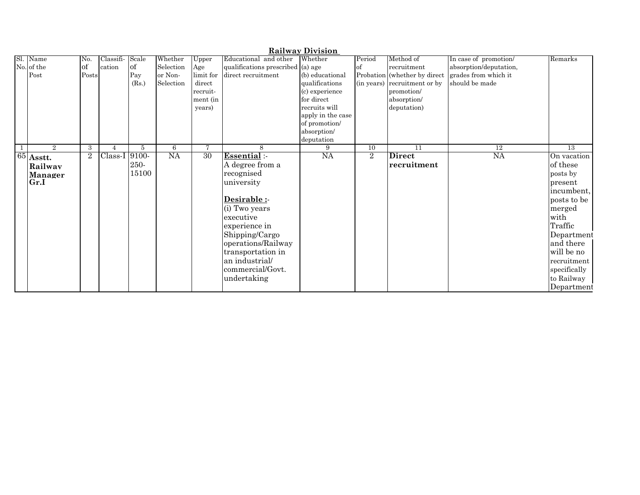| <b>Railway Division</b> |                |           |           |           |           |                                   |                   |                |                              |                        |                 |
|-------------------------|----------------|-----------|-----------|-----------|-----------|-----------------------------------|-------------------|----------------|------------------------------|------------------------|-----------------|
| Sl. Name                | No.            | Classifi- | Scale     | Whether   | Upper     | Educational and other             | Whether           | Period         | Method of                    | In case of promotion/  | Remarks         |
| No. of the              | of             | cation    | <b>of</b> | Selection | Age       | qualifications prescribed (a) age |                   | of             | recruitment                  | absorption/deputation, |                 |
| Post                    | Posts          |           | Pay       | or Non-   | limit for | direct recruitment                | (b) educational   |                | Probation (whether by direct | grades from which it   |                 |
|                         |                |           | (Rs.)     | Selection | direct    |                                   | qualifications    |                | (in years) recruitment or by | should be made         |                 |
|                         |                |           |           |           | recruit-  |                                   | (c) experience    |                | promotion/                   |                        |                 |
|                         |                |           |           |           | ment (in  |                                   | for direct        |                | absorption/                  |                        |                 |
|                         |                |           |           |           | years)    |                                   | recruits will     |                | deputation)                  |                        |                 |
|                         |                |           |           |           |           |                                   | apply in the case |                |                              |                        |                 |
|                         |                |           |           |           |           |                                   | of promotion/     |                |                              |                        |                 |
|                         |                |           |           |           |           |                                   | absorption/       |                |                              |                        |                 |
|                         |                |           |           |           |           |                                   | deputation        |                |                              |                        |                 |
| $2^{x}$                 | 3              |           | 5         | 6         | 7         | 8                                 | 9                 | 10             | $\overline{11}$              | $\overline{12}$        | $\overline{13}$ |
| $\sqrt{65}$ Asstt.      | $\overline{2}$ | Class-I   | $9100-$   | NA        | 30        | Essential:-                       | <b>NA</b>         | $\overline{2}$ | <b>Direct</b>                | <b>NA</b>              | On vacation     |
| Railway                 |                |           | 250-      |           |           | A degree from a                   |                   |                | recruitment                  |                        | of these        |
| Manager                 |                |           | 15100     |           |           | recognised                        |                   |                |                              |                        | posts by        |
| Gr.I                    |                |           |           |           |           | university                        |                   |                |                              |                        | present         |
|                         |                |           |           |           |           |                                   |                   |                |                              |                        | incumbent,      |
|                         |                |           |           |           |           | Desirable :-                      |                   |                |                              |                        | posts to be     |
|                         |                |           |           |           |           | (i) Two years                     |                   |                |                              |                        | merged          |
|                         |                |           |           |           |           | executive                         |                   |                |                              |                        | with            |
|                         |                |           |           |           |           | experience in                     |                   |                |                              |                        | Traffic         |
|                         |                |           |           |           |           | Shipping/Cargo                    |                   |                |                              |                        | Department      |
|                         |                |           |           |           |           | operations/Railway                |                   |                |                              |                        | and there       |
|                         |                |           |           |           |           | transportation in                 |                   |                |                              |                        | will be no      |
|                         |                |           |           |           |           | an industrial/                    |                   |                |                              |                        | recruitment     |
|                         |                |           |           |           |           | commercial/Govt.                  |                   |                |                              |                        |                 |
|                         |                |           |           |           |           |                                   |                   |                |                              |                        | specifically    |
|                         |                |           |           |           |           | undertaking                       |                   |                |                              |                        | to Railway      |
|                         |                |           |           |           |           |                                   |                   |                |                              |                        | Department      |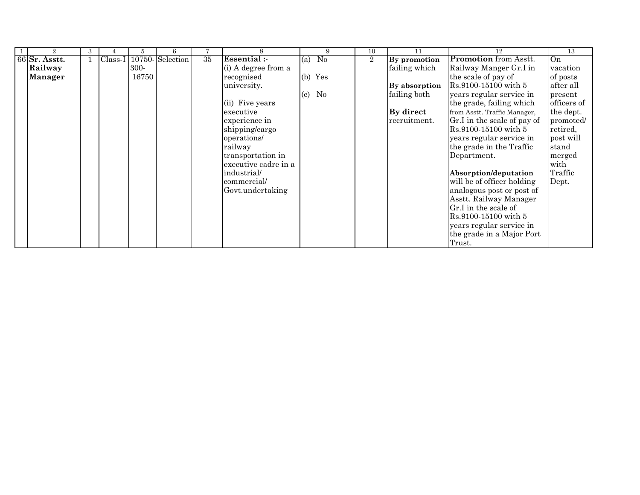|                 | $\mathbf{a}$ |           |       |                 |    |                      |                                 | 9              | 10             | 11            | 12                           | 13          |
|-----------------|--------------|-----------|-------|-----------------|----|----------------------|---------------------------------|----------------|----------------|---------------|------------------------------|-------------|
| $66$ Sr. Asstt. |              | $Class-I$ |       | 10750-Selection | 35 | Essential:           | (a)                             | N <sub>0</sub> | $\overline{2}$ | By promotion  | <b>Promotion</b> from Asstt. | On          |
| Railway         |              |           | 300-  |                 |    | (i) A degree from a  |                                 |                |                | failing which | Railway Manger Gr.I in       | vacation    |
| Manager         |              |           | 16750 |                 |    | recognised           | $(b)$ Yes                       |                |                |               | the scale of pay of          | of posts    |
|                 |              |           |       |                 |    | university.          |                                 |                |                | By absorption | Rs.9100-15100 with 5         | after all   |
|                 |              |           |       |                 |    |                      | No<br>$\left( \text{c} \right)$ |                |                | failing both  | years regular service in     | present     |
|                 |              |           |       |                 |    | (ii) Five years      |                                 |                |                |               | the grade, failing which     | officers of |
|                 |              |           |       |                 |    | executive            |                                 |                |                | By direct     | from Asstt. Traffic Manager, | the dept.   |
|                 |              |           |       |                 |    | experience in        |                                 |                |                | recruitment.  | Gr.I in the scale of pay of  | promoted/   |
|                 |              |           |       |                 |    | shipping/cargo       |                                 |                |                |               | Rs.9100-15100 with 5         | retired,    |
|                 |              |           |       |                 |    | operations/          |                                 |                |                |               | years regular service in     | post will   |
|                 |              |           |       |                 |    | railway              |                                 |                |                |               | the grade in the Traffic     | stand       |
|                 |              |           |       |                 |    | transportation in    |                                 |                |                |               | Department.                  | merged      |
|                 |              |           |       |                 |    | executive cadre in a |                                 |                |                |               |                              | with        |
|                 |              |           |       |                 |    | industrial/          |                                 |                |                |               | Absorption/deputation        | Traffic     |
|                 |              |           |       |                 |    | commercial/          |                                 |                |                |               | will be of officer holding   | Dept.       |
|                 |              |           |       |                 |    | Govt.undertaking     |                                 |                |                |               | analogous post or post of    |             |
|                 |              |           |       |                 |    |                      |                                 |                |                |               | Asstt. Railway Manager       |             |
|                 |              |           |       |                 |    |                      |                                 |                |                |               | Gr.I in the scale of         |             |
|                 |              |           |       |                 |    |                      |                                 |                |                |               | Rs.9100-15100 with 5         |             |
|                 |              |           |       |                 |    |                      |                                 |                |                |               | years regular service in     |             |
|                 |              |           |       |                 |    |                      |                                 |                |                |               | the grade in a Major Port    |             |
|                 |              |           |       |                 |    |                      |                                 |                |                |               | Trust.                       |             |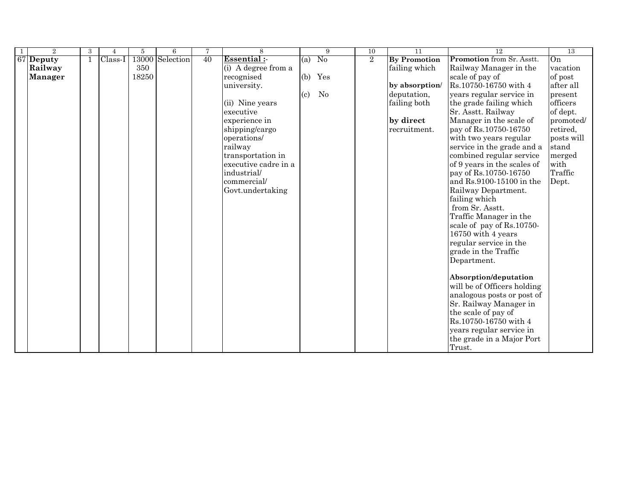| -1 | $\overline{2}$ | 3 | 4       | 5     | 6               | $\tau$ | 8                    |     | 9        | 10             | $\overline{11}$     | 12                          | 13         |
|----|----------------|---|---------|-------|-----------------|--------|----------------------|-----|----------|----------------|---------------------|-----------------------------|------------|
|    | 67 Deputy      |   | Class-I |       | 13000 Selection | 40     | <b>Essential:-</b>   | (a) | No       | $\overline{2}$ | <b>By Promotion</b> | Promotion from Sr. Asstt.   | On         |
|    | Railway        |   |         | 350   |                 |        | (i) A degree from a  |     |          |                | failing which       | Railway Manager in the      | vacation   |
|    | <b>Manager</b> |   |         | 18250 |                 |        | recognised           | (b) | Yes      |                |                     | scale of pay of             | of post    |
|    |                |   |         |       |                 |        | university.          |     |          |                | by absorption/      | Rs.10750-16750 with 4       | after all  |
|    |                |   |         |       |                 |        |                      | (c) | $\rm No$ |                | deputation,         | years regular service in    | present    |
|    |                |   |         |       |                 |        | (ii) Nine years      |     |          |                | failing both        | the grade failing which     | officers   |
|    |                |   |         |       |                 |        | executive            |     |          |                |                     | Sr. Asstt. Railway          | of dept.   |
|    |                |   |         |       |                 |        | experience in        |     |          |                | by direct           | Manager in the scale of     | promoted/  |
|    |                |   |         |       |                 |        | shipping/cargo       |     |          |                | recruitment.        | pay of Rs.10750-16750       | retired,   |
|    |                |   |         |       |                 |        | operations/          |     |          |                |                     | with two years regular      | posts will |
|    |                |   |         |       |                 |        | railway              |     |          |                |                     | service in the grade and a  | stand      |
|    |                |   |         |       |                 |        | transportation in    |     |          |                |                     | combined regular service    | merged     |
|    |                |   |         |       |                 |        | executive cadre in a |     |          |                |                     | of 9 years in the scales of | with       |
|    |                |   |         |       |                 |        | industrial/          |     |          |                |                     | pay of Rs.10750-16750       | Traffic    |
|    |                |   |         |       |                 |        | commercial/          |     |          |                |                     | and Rs.9100-15100 in the    | Dept.      |
|    |                |   |         |       |                 |        | Govt.undertaking     |     |          |                |                     | Railway Department.         |            |
|    |                |   |         |       |                 |        |                      |     |          |                |                     | failing which               |            |
|    |                |   |         |       |                 |        |                      |     |          |                |                     | from Sr. Asstt.             |            |
|    |                |   |         |       |                 |        |                      |     |          |                |                     | Traffic Manager in the      |            |
|    |                |   |         |       |                 |        |                      |     |          |                |                     | scale of pay of Rs.10750-   |            |
|    |                |   |         |       |                 |        |                      |     |          |                |                     | $16750$ with $4$ years      |            |
|    |                |   |         |       |                 |        |                      |     |          |                |                     | regular service in the      |            |
|    |                |   |         |       |                 |        |                      |     |          |                |                     | grade in the Traffic        |            |
|    |                |   |         |       |                 |        |                      |     |          |                |                     | Department.                 |            |
|    |                |   |         |       |                 |        |                      |     |          |                |                     |                             |            |
|    |                |   |         |       |                 |        |                      |     |          |                |                     | Absorption/deputation       |            |
|    |                |   |         |       |                 |        |                      |     |          |                |                     | will be of Officers holding |            |
|    |                |   |         |       |                 |        |                      |     |          |                |                     | analogous posts or post of  |            |
|    |                |   |         |       |                 |        |                      |     |          |                |                     | Sr. Railway Manager in      |            |
|    |                |   |         |       |                 |        |                      |     |          |                |                     | the scale of pay of         |            |
|    |                |   |         |       |                 |        |                      |     |          |                |                     | Rs.10750-16750 with 4       |            |
|    |                |   |         |       |                 |        |                      |     |          |                |                     | years regular service in    |            |
|    |                |   |         |       |                 |        |                      |     |          |                |                     | the grade in a Major Port   |            |
|    |                |   |         |       |                 |        |                      |     |          |                |                     | Trust.                      |            |